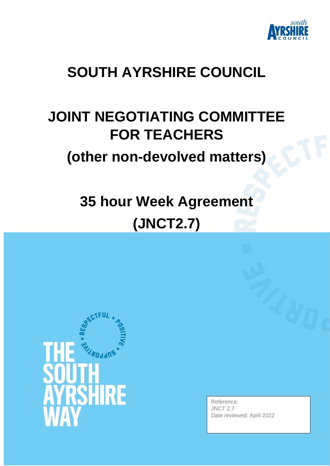

## **SOUTH AYRSHIRE COUNCIL**

## **JOINT NEGOTIATING COMMITTEE FOR TEACHERS**

## **(other non-devolved matters)**

# **35 hour Week Agreement (JNCT2.7)**



Reference: JNCT 2.7 Date reviewed: April 2022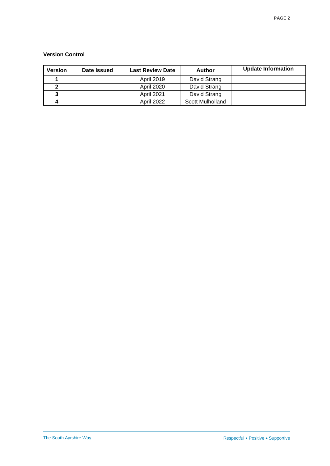#### **Version Control**

| Version | Date Issued | <b>Last Review Date</b> | Author           | <b>Update Information</b> |
|---------|-------------|-------------------------|------------------|---------------------------|
|         |             | <b>April 2019</b>       | David Strang     |                           |
|         |             | <b>April 2020</b>       | David Strang     |                           |
|         |             | <b>April 2021</b>       | David Strang     |                           |
|         |             | <b>April 2022</b>       | Scott Mulholland |                           |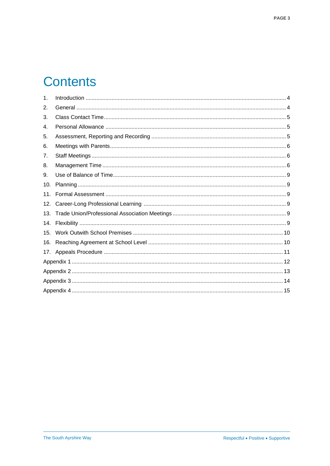## **Contents**

| $\mathbf 1$ . |  |
|---------------|--|
| 2.            |  |
| 3.            |  |
| 4.            |  |
| 5.            |  |
| 6.            |  |
| 7.            |  |
| 8.            |  |
| 9.            |  |
| 10.           |  |
| 11.           |  |
| 12.           |  |
| 13.           |  |
| 14.           |  |
| 15.           |  |
| 16.           |  |
| 17.           |  |
|               |  |
|               |  |
|               |  |
|               |  |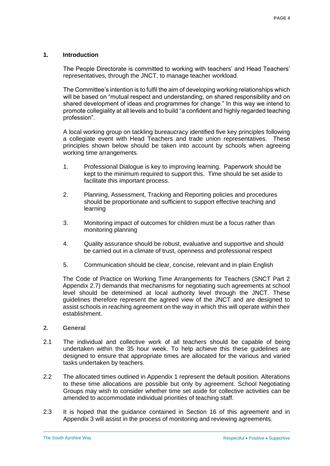#### <span id="page-3-0"></span>**1. Introduction**

The People Directorate is committed to working with teachers' and Head Teachers' representatives, through the JNCT, to manage teacher workload.

The Committee's intention is to fulfil the aim of developing working relationships which will be based on "mutual respect and understanding, on shared responsibility and on shared development of ideas and programmes for change." In this way we intend to promote collegiality at all levels and to build "a confident and highly regarded teaching profession".

A local working group on tackling bureaucracy identified five key principles following a collegiate event with Head Teachers and trade union representatives. These principles shown below should be taken into account by schools when agreeing working time arrangements.

- 1. Professional Dialogue is key to improving learning. Paperwork should be kept to the minimum required to support this. Time should be set aside to facilitate this important process.
- 2. Planning, Assessment, Tracking and Reporting policies and procedures should be proportionate and sufficient to support effective teaching and learning
- 3. Monitoring impact of outcomes for children must be a focus rather than monitoring planning
- 4. Quality assurance should be robust, evaluative and supportive and should be carried out in a climate of trust, openness and professional respect
- 5. Communication should be clear, concise, relevant and in plain English

The Code of Practice on Working Time Arrangements for Teachers (SNCT Part 2 Appendix 2.7) demands that mechanisms for negotiating such agreements at school level should be determined at local authority level through the JNCT. These guidelines therefore represent the agreed view of the JNCT and are designed to assist schools in reaching agreement on the way in which this will operate within their establishment.

- <span id="page-3-1"></span>**2. General**
- 2.1 The individual and collective work of all teachers should be capable of being undertaken within the 35 hour week. To help achieve this these guidelines are designed to ensure that appropriate times are allocated for the various and varied tasks undertaken by teachers.
- 2.2 The allocated times outlined in Appendix 1 represent the default position. Alterations to these time allocations are possible but only by agreement. School Negotiating Groups may wish to consider whether time set aside for collective activities can be amended to accommodate individual priorities of teaching staff.
- 2.3 It is hoped that the guidance contained in Section 16 of this agreement and in Appendix 3 will assist in the process of monitoring and reviewing agreements.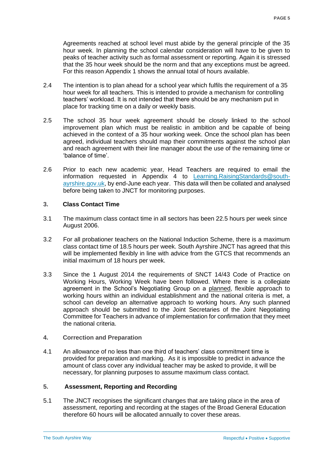Agreements reached at school level must abide by the general principle of the 35 hour week. In planning the school calendar consideration will have to be given to peaks of teacher activity such as formal assessment or reporting. Again it is stressed that the 35 hour week should be the norm and that any exceptions must be agreed. For this reason Appendix 1 shows the annual total of hours available.

- 2.4 The intention is to plan ahead for a school year which fulfils the requirement of a 35 hour week for all teachers. This is intended to provide a mechanism for controlling teachers' workload. It is not intended that there should be any mechanism put in place for tracking time on a daily or weekly basis.
- 2.5 The school 35 hour week agreement should be closely linked to the school improvement plan which must be realistic in ambition and be capable of being achieved in the context of a 35 hour working week. Once the school plan has been agreed, individual teachers should map their commitments against the school plan and reach agreement with their line manager about the use of the remaining time or 'balance of time'.
- 2.6 Prior to each new academic year, Head Teachers are required to email the information requested in Appendix 4 to [Learning.RaisingStandards@south](mailto:Learning.RaisingStandards@south-ayrshire.gov.uk)[ayrshire.gov.uk,](mailto:Learning.RaisingStandards@south-ayrshire.gov.uk) by end-June each year. This data will then be collated and analysed before being taken to JNCT for monitoring purposes.

#### <span id="page-4-0"></span>**3. Class Contact Time**

- 3.1 The maximum class contact time in all sectors has been 22.5 hours per week since August 2006.
- 3.2 For all probationer teachers on the National Induction Scheme, there is a maximum class contact time of 18.5 hours per week. South Ayrshire JNCT has agreed that this will be implemented flexibly in line with advice from the GTCS that recommends an initial maximum of 18 hours per week.
- 3.3 Since the 1 August 2014 the requirements of SNCT 14/43 Code of Practice on Working Hours, Working Week have been followed. Where there is a collegiate agreement in the School's Negotiating Group on a planned, flexible approach to working hours within an individual establishment and the national criteria is met, a school can develop an alternative approach to working hours. Any such planned approach should be submitted to the Joint Secretaries of the Joint Negotiating Committee for Teachers in advance of implementation for confirmation that they meet the national criteria.
- **4. Correction and Preparation**
- 4.1 An allowance of no less than one third of teachers' class commitment time is provided for preparation and marking. As it is impossible to predict in advance the amount of class cover any individual teacher may be asked to provide, it will be necessary, for planning purposes to assume maximum class contact.

#### <span id="page-4-1"></span>**5. Assessment, Reporting and Recording**

5.1 The JNCT recognises the significant changes that are taking place in the area of assessment, reporting and recording at the stages of the Broad General Education therefore 60 hours will be allocated annually to cover these areas.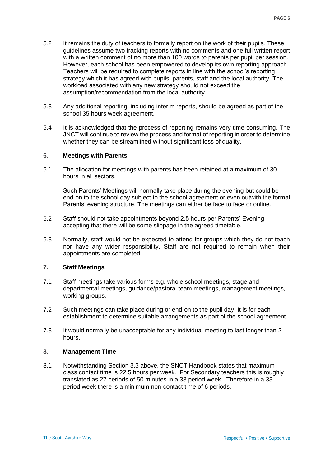- 5.2 It remains the duty of teachers to formally report on the work of their pupils. These guidelines assume two tracking reports with no comments and one full written report with a written comment of no more than 100 words to parents per pupil per session. However, each school has been empowered to develop its own reporting approach. Teachers will be required to complete reports in line with the school's reporting strategy which it has agreed with pupils, parents, staff and the local authority. The workload associated with any new strategy should not exceed the assumption/recommendation from the local authority.
- 5.3 Any additional reporting, including interim reports, should be agreed as part of the school 35 hours week agreement.
- 5.4 It is acknowledged that the process of reporting remains very time consuming. The JNCT will continue to review the process and format of reporting in order to determine whether they can be streamlined without significant loss of quality.

#### <span id="page-5-0"></span>**6. Meetings with Parents**

6.1 The allocation for meetings with parents has been retained at a maximum of 30 hours in all sectors.

Such Parents' Meetings will normally take place during the evening but could be end-on to the school day subject to the school agreement or even outwith the formal Parents' evening structure. The meetings can either be face to face or online.

- 6.2 Staff should not take appointments beyond 2.5 hours per Parents' Evening accepting that there will be some slippage in the agreed timetable.
- 6.3 Normally, staff would not be expected to attend for groups which they do not teach nor have any wider responsibility. Staff are not required to remain when their appointments are completed.

#### <span id="page-5-1"></span>**7. Staff Meetings**

- 7.1 Staff meetings take various forms e.g. whole school meetings, stage and departmental meetings, guidance/pastoral team meetings, management meetings, working groups.
- 7.2 Such meetings can take place during or end-on to the pupil day. It is for each establishment to determine suitable arrangements as part of the school agreement.
- 7.3 It would normally be unacceptable for any individual meeting to last longer than 2 hours.

#### <span id="page-5-2"></span>**8. Management Time**

8.1 Notwithstanding Section 3.3 above, the SNCT Handbook states that maximum class contact time is 22.5 hours per week. For Secondary teachers this is roughly translated as 27 periods of 50 minutes in a 33 period week. Therefore in a 33 period week there is a minimum non-contact time of 6 periods.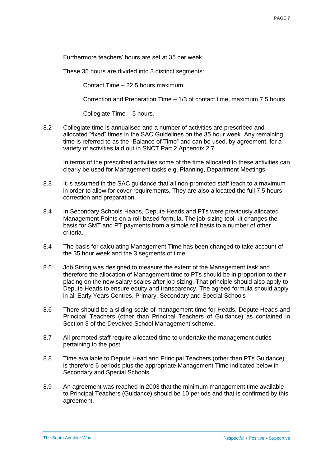Furthermore teachers' hours are set at 35 per week

These 35 hours are divided into 3 distinct segments:

Contact Time – 22.5 hours maximum

Correction and Preparation Time – 1/3 of contact time, maximum 7.5 hours

Collegiate Time – 5 hours.

8.2 Collegiate time is annualised and a number of activities are prescribed and allocated "fixed" times in the SAC Guidelines on the 35 hour week. Any remaining time is referred to as the "Balance of Time" and can be used, by agreement, for a variety of activities laid out in SNCT Part 2 Appendix 2.7.

In terms of the prescribed activities some of the time allocated to these activities can clearly be used for Management tasks e.g. Planning, Department Meetings

- 8.3 It is assumed in the SAC guidance that all non-promoted staff teach to a maximum in order to allow for cover requirements. They are also allocated the full 7.5 hours correction and preparation.
- 8.4 In Secondary Schools Heads, Depute Heads and PTs were previously allocated Management Points on a roll-based formula. The job-sizing tool-kit changes the basis for SMT and PT payments from a simple roll basis to a number of other criteria.
- 8.4 The basis for calculating Management Time has been changed to take account of the 35 hour week and the 3 segments of time.
- 8.5 Job Sizing was designed to measure the extent of the Management task and therefore the allocation of Management time to PTs should be in proportion to their placing on the new salary scales after job-sizing. That principle should also apply to Depute Heads to ensure equity and transparency. The agreed formula should apply in all Early Years Centres, Primary, Secondary and Special Schools
- 8.6 There should be a sliding scale of management time for Heads, Depute Heads and Principal Teachers (other than Principal Teachers of Guidance) as contained in Section 3 of the Devolved School Management scheme.
- 8.7 All promoted staff require allocated time to undertake the management duties pertaining to the post.
- 8.8 Time available to Depute Head and Principal Teachers (other than PTs Guidance) is therefore 6 periods plus the appropriate Management Time indicated below in Secondary and Special Schools
- 8.9 An agreement was reached in 2003 that the minimum management time available to Principal Teachers (Guidance) should be 10 periods and that is confirmed by this agreement.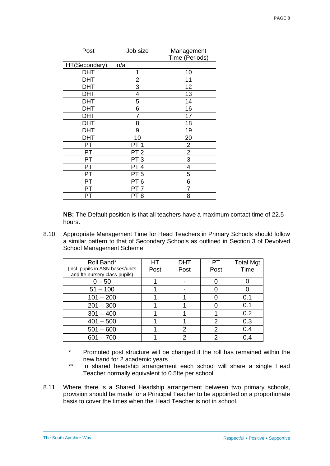| Post          | Job size        | Management<br>Time (Periods) |
|---------------|-----------------|------------------------------|
| HT(Secondary) | n/a             |                              |
| <b>DHT</b>    | 1               | 10                           |
| <b>DHT</b>    | $\frac{2}{3}$   | 11                           |
| <b>DHT</b>    |                 | 12                           |
| DHT           | 4               | 13                           |
| <b>DHT</b>    | 5               | 14                           |
| <b>DHT</b>    | 6               | 16                           |
| <b>DHT</b>    | 7               | 17                           |
| <b>DHT</b>    | 8               | 18                           |
| <b>DHT</b>    | 9               | 19                           |
| DHT           | 10              | 20                           |
| PT            | PT <sub>1</sub> | $\overline{2}$               |
| PT            | PT <sub>2</sub> | $\overline{2}$               |
| PT            | PT <sub>3</sub> | 3                            |
| PT            | PT <sub>4</sub> | 4                            |
| PT            | PT <sub>5</sub> | 5                            |
| PT            | PT <sub>6</sub> | 6                            |
| PT            | PT              | 7                            |
| PT            | PT 8            | 8                            |

**NB:** The Default position is that all teachers have a maximum contact time of 22.5 hours.

8.10 Appropriate Management Time for Head Teachers in Primary Schools should follow a similar pattern to that of Secondary Schools as outlined in Section 3 of Devolved School Management Scheme.

| Roll Band*                       | HT.  | <b>DHT</b> | PT   | <b>Total Mgt</b> |
|----------------------------------|------|------------|------|------------------|
| (incl. pupils in ASN bases/units | Post | Post       | Post | Time             |
| and fte nursery class pupils)    |      |            |      |                  |
| $0 - 50$                         |      |            |      |                  |
| $51 - 100$                       |      |            |      |                  |
| $101 - 200$                      |      |            |      | 0.1              |
| $201 - 300$                      |      |            |      | 0.1              |
| $301 - 400$                      |      |            |      | 0.2              |
| $401 - 500$                      |      |            | っ    | 0.3              |
| $501 - 600$                      |      | 2          | 2    | 0.4              |
| $601 - 700$                      |      |            |      | 0.4              |

- \* Promoted post structure will be changed if the roll has remained within the new band for 2 academic years
- \*\* In shared headship arrangement each school will share a single Head Teacher normally equivalent to 0.5fte per school
- 8.11 Where there is a Shared Headship arrangement between two primary schools, provision should be made for a Principal Teacher to be appointed on a proportionate basis to cover the times when the Head Teacher is not in school.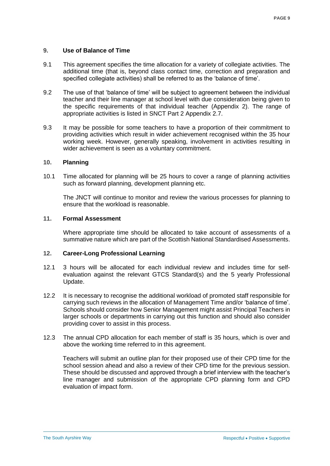#### <span id="page-8-0"></span>**9. Use of Balance of Time**

- 9.1 This agreement specifies the time allocation for a variety of collegiate activities. The additional time (that is, beyond class contact time, correction and preparation and specified collegiate activities) shall be referred to as the 'balance of time'.
- 9.2 The use of that 'balance of time' will be subject to agreement between the individual teacher and their line manager at school level with due consideration being given to the specific requirements of that individual teacher (Appendix 2). The range of appropriate activities is listed in SNCT Part 2 Appendix 2.7.
- 9.3 It may be possible for some teachers to have a proportion of their commitment to providing activities which result in wider achievement recognised within the 35 hour working week. However, generally speaking, involvement in activities resulting in wider achievement is seen as a voluntary commitment.

#### <span id="page-8-1"></span>**10. Planning**

10.1 Time allocated for planning will be 25 hours to cover a range of planning activities such as forward planning, development planning etc.

The JNCT will continue to monitor and review the various processes for planning to ensure that the workload is reasonable.

#### <span id="page-8-2"></span>**11. Formal Assessment**

Where appropriate time should be allocated to take account of assessments of a summative nature which are part of the Scottish National Standardised Assessments.

#### <span id="page-8-3"></span>**12. Career-Long Professional Learning**

- 12.1 3 hours will be allocated for each individual review and includes time for selfevaluation against the relevant GTCS Standard(s) and the 5 yearly Professional Update.
- 12.2 It is necessary to recognise the additional workload of promoted staff responsible for carrying such reviews in the allocation of Management Time and/or 'balance of time'. Schools should consider how Senior Management might assist Principal Teachers in larger schools or departments in carrying out this function and should also consider providing cover to assist in this process.
- 12.3 The annual CPD allocation for each member of staff is 35 hours, which is over and above the working time referred to in this agreement.

Teachers will submit an outline plan for their proposed use of their CPD time for the school session ahead and also a review of their CPD time for the previous session. These should be discussed and approved through a brief interview with the teacher's line manager and submission of the appropriate CPD planning form and CPD evaluation of impact form.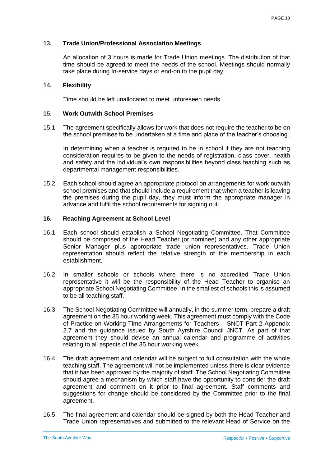#### <span id="page-9-0"></span>**13. Trade Union/Professional Association Meetings**

An allocation of 3 hours is made for Trade Union meetings. The distribution of that time should be agreed to meet the needs of the school. Meetings should normally take place during In-service days or end-on to the pupil day.

#### <span id="page-9-1"></span>**14. Flexibility**

Time should be left unallocated to meet unforeseen needs.

#### <span id="page-9-2"></span>**15. Work Outwith School Premises**

15.1 The agreement specifically allows for work that does not require the teacher to be on the school premises to be undertaken at a time and place of the teacher's choosing.

In determining when a teacher is required to be in school if they are not teaching consideration requires to be given to the needs of registration, class cover, health and safety and the individual's own responsibilities beyond class teaching such as departmental management responsibilities.

15.2 Each school should agree an appropriate protocol on arrangements for work outwith school premises and that should include a requirement that when a teacher is leaving the premises during the pupil day, they must inform the appropriate manager in advance and fulfil the school requirements for signing out.

#### <span id="page-9-3"></span>**16. Reaching Agreement at School Level**

- 16.1 Each school should establish a School Negotiating Committee. That Committee should be comprised of the Head Teacher (or nominee) and any other appropriate Senior Manager plus appropriate trade union representatives. Trade Union representation should reflect the relative strength of the membership in each establishment.
- 16.2 In smaller schools or schools where there is no accredited Trade Union representative it will be the responsibility of the Head Teacher to organise an appropriate School Negotiating Committee. In the smallest of schools this is assumed to be all teaching staff.
- 16.3 The School Negotiating Committee will annually, in the summer term, prepare a draft agreement on the 35 hour working week. This agreement must comply with the Code of Practice on Working Time Arrangements for Teachers – SNCT Part 2 Appendix 2.7 and the guidance issued by South Ayrshire Council JNCT. As part of that agreement they should devise an annual calendar and programme of activities relating to all aspects of the 35 hour working week.
- 16.4 The draft agreement and calendar will be subject to full consultation with the whole teaching staff. The agreement will not be implemented unless there is clear evidence that it has been approved by the majority of staff. The School Negotiating Committee should agree a mechanism by which staff have the opportunity to consider the draft agreement and comment on it prior to final agreement. Staff comments and suggestions for change should be considered by the Committee prior to the final agreement.
- 16.5 The final agreement and calendar should be signed by both the Head Teacher and Trade Union representatives and submitted to the relevant Head of Service on the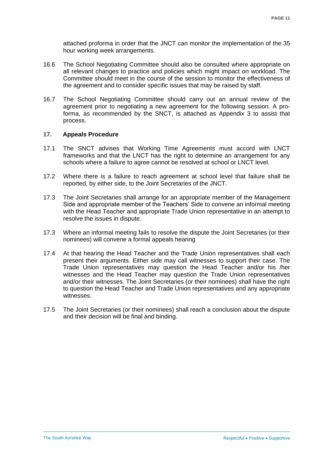attached proforma in order that the JNCT can monitor the implementation of the 35 hour working week arrangements.

- 16.6 The School Negotiating Committee should also be consulted where appropriate on all relevant changes to practice and policies which might impact on workload. The Committee should meet in the course of the session to monitor the effectiveness of the agreement and to consider specific issues that may be raised by staff.
- 16.7 The School Negotiating Committee should carry out an annual review of the agreement prior to negotiating a new agreement for the following session. A proforma, as recommended by the SNCT, is attached as Appendix 3 to assist that process.

#### <span id="page-10-0"></span>**17. Appeals Procedure**

- 17.1 The SNCT advises that Working Time Agreements must accord with LNCT frameworks and that the LNCT has the right to determine an arrangement for any schools where a failure to agree cannot be resolved at school or LNCT level.
- 17.2 Where there is a failure to reach agreement at school level that failure shall be reported, by either side, to the Joint Secretaries of the JNCT.
- 17.3 The Joint Secretaries shall arrange for an appropriate member of the Management Side and appropriate member of the Teachers' Side to convene an informal meeting with the Head Teacher and appropriate Trade Union representative in an attempt to resolve the issues in dispute.
- 17.3 Where an informal meeting fails to resolve the dispute the Joint Secretaries (or their nominees) will convene a formal appeals hearing
- 17.4 At that hearing the Head Teacher and the Trade Union representatives shall each present their arguments. Either side may call witnesses to support their case. The Trade Union representatives may question the Head Teacher and/or his /her witnesses and the Head Teacher may question the Trade Union representatives and/or their witnesses. The Joint Secretaries (or their nominees) shall have the right to question the Head Teacher and Trade Union representatives and any appropriate witnesses.
- <span id="page-10-1"></span>17.5 The Joint Secretaries (or their nominees) shall reach a conclusion about the dispute and their decision will be final and binding.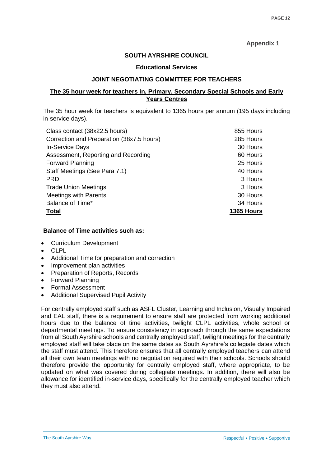#### **Appendix 1**

#### **SOUTH AYRSHIRE COUNCIL**

#### **Educational Services**

#### **JOINT NEGOTIATING COMMITTEE FOR TEACHERS**

#### **The 35 hour week for teachers in, Primary, Secondary Special Schools and Early Years Centres**

The 35 hour week for teachers is equivalent to 1365 hours per annum (195 days including in-service days).

| Class contact (38x22.5 hours)             | 855 Hours  |
|-------------------------------------------|------------|
| Correction and Preparation (38x7.5 hours) | 285 Hours  |
| <b>In-Service Days</b>                    | 30 Hours   |
| Assessment, Reporting and Recording       | 60 Hours   |
| <b>Forward Planning</b>                   | 25 Hours   |
| Staff Meetings (See Para 7.1)             | 40 Hours   |
| <b>PRD</b>                                | 3 Hours    |
| <b>Trade Union Meetings</b>               | 3 Hours    |
| <b>Meetings with Parents</b>              | 30 Hours   |
| Balance of Time*                          | 34 Hours   |
| <b>Total</b>                              | 1365 Hours |

#### **Balance of Time activities such as:**

- Curriculum Development
- $\bullet$  CLPL
- Additional Time for preparation and correction
- Improvement plan activities
- Preparation of Reports, Records
- Forward Planning
- Formal Assessment
- Additional Supervised Pupil Activity

<span id="page-11-0"></span>For centrally employed staff such as ASFL Cluster, Learning and Inclusion, Visually Impaired and EAL staff, there is a requirement to ensure staff are protected from working additional hours due to the balance of time activities, twilight CLPL activities, whole school or departmental meetings. To ensure consistency in approach through the same expectations from all South Ayrshire schools and centrally employed staff, twilight meetings for the centrally employed staff will take place on the same dates as South Ayrshire's collegiate dates which the staff must attend. This therefore ensures that all centrally employed teachers can attend all their own team meetings with no negotiation required with their schools. Schools should therefore provide the opportunity for centrally employed staff, where appropriate, to be updated on what was covered during collegiate meetings. In addition, there will also be allowance for identified in-service days, specifically for the centrally employed teacher which they must also attend.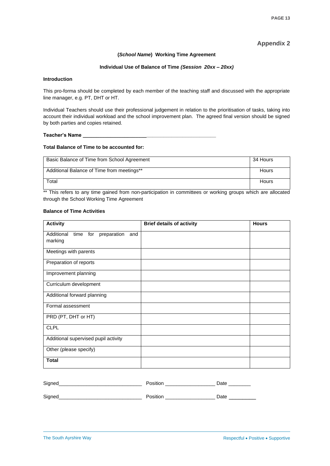#### **Appendix 2**

#### **(***School Name***) Working Time Agreement**

#### **Individual Use of Balance of Time** *(Session 20xx – 20xx)*

#### **Introduction**

This pro-forma should be completed by each member of the teaching staff and discussed with the appropriate line manager, e.g. PT, DHT or HT.

Individual Teachers should use their professional judgement in relation to the prioritisation of tasks, taking into account their individual workload and the school improvement plan. The agreed final version should be signed by both parties and copies retained.

#### **Teacher's Name \_\_\_\_\_\_\_\_\_\_\_\_\_\_\_\_\_\_\_\_\_\_\_\_\_\_\_\_\_\_\_\_\_\_\_\_\_\_\_\_\_\_\_\_\_\_\_\_**

#### **Total Balance of Time to be accounted for:**

| Basic Balance of Time from School Agreement | 34 Hours |
|---------------------------------------------|----------|
| Additional Balance of Time from meetings**  | Hours    |
| Total                                       | Hours    |

\*\* This refers to any time gained from non-participation in committees or working groups which are allocated through the School Working Time Agreement

#### **Balance of Time Activities**

| <b>Activity</b>                                            | <b>Brief details of activity</b> | <b>Hours</b> |
|------------------------------------------------------------|----------------------------------|--------------|
| Additional<br>for<br>preparation<br>time<br>and<br>marking |                                  |              |
| Meetings with parents                                      |                                  |              |
| Preparation of reports                                     |                                  |              |
| Improvement planning                                       |                                  |              |
| Curriculum development                                     |                                  |              |
| Additional forward planning                                |                                  |              |
| Formal assessment                                          |                                  |              |
| PRD (PT, DHT or HT)                                        |                                  |              |
| <b>CLPL</b>                                                |                                  |              |
| Additional supervised pupil activity                       |                                  |              |
| Other (please specify)                                     |                                  |              |
| <b>Total</b>                                               |                                  |              |
|                                                            |                                  |              |

| Signed<br>. .<br>$\sim$ |  |  |
|-------------------------|--|--|
|-------------------------|--|--|

<span id="page-12-0"></span>Signed\_\_\_\_\_\_\_\_\_\_\_\_\_\_\_\_\_\_\_\_\_\_\_\_\_\_\_\_\_\_ Position \_\_\_\_\_\_\_\_\_\_\_\_\_\_\_\_\_\_ Date \_\_\_\_\_\_\_\_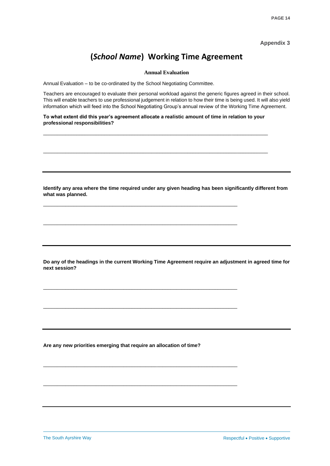**Appendix 3**

### **(***School Name***) Working Time Agreement**

**Annual Evaluation**

Annual Evaluation – to be co-ordinated by the School Negotiating Committee.

Teachers are encouraged to evaluate their personal workload against the generic figures agreed in their school. This will enable teachers to use professional judgement in relation to how their time is being used. It will also yield information which will feed into the School Negotiating Group's annual review of the Working Time Agreement.

**To what extent did this year's agreement allocate a realistic amount of time in relation to your professional responsibilities?**

\_\_\_\_\_\_\_\_\_\_\_\_\_\_\_\_\_\_\_\_\_\_\_\_\_\_\_\_\_\_\_\_\_\_\_\_\_\_\_\_\_\_\_\_\_\_\_\_\_\_\_\_\_\_\_\_\_\_\_\_\_\_\_\_\_\_\_\_\_\_\_\_\_\_\_\_\_\_\_\_\_

\_\_\_\_\_\_\_\_\_\_\_\_\_\_\_\_\_\_\_\_\_\_\_\_\_\_\_\_\_\_\_\_\_\_\_\_\_\_\_\_\_\_\_\_\_\_\_\_\_\_\_\_\_\_\_\_\_\_\_\_\_\_\_\_\_\_\_\_\_\_\_\_\_\_\_\_\_\_\_\_\_

\_\_\_\_\_\_\_\_\_\_\_\_\_\_\_\_\_\_\_\_\_\_\_\_\_\_\_\_\_\_\_\_\_\_\_\_\_\_\_\_\_\_\_\_\_\_\_\_\_\_\_\_\_\_\_\_\_\_\_\_\_\_\_\_\_\_\_\_\_\_

\_\_\_\_\_\_\_\_\_\_\_\_\_\_\_\_\_\_\_\_\_\_\_\_\_\_\_\_\_\_\_\_\_\_\_\_\_\_\_\_\_\_\_\_\_\_\_\_\_\_\_\_\_\_\_\_\_\_\_\_\_\_\_\_\_\_\_\_\_\_

\_\_\_\_\_\_\_\_\_\_\_\_\_\_\_\_\_\_\_\_\_\_\_\_\_\_\_\_\_\_\_\_\_\_\_\_\_\_\_\_\_\_\_\_\_\_\_\_\_\_\_\_\_\_\_\_\_\_\_\_\_\_\_\_\_\_\_\_\_\_

\_\_\_\_\_\_\_\_\_\_\_\_\_\_\_\_\_\_\_\_\_\_\_\_\_\_\_\_\_\_\_\_\_\_\_\_\_\_\_\_\_\_\_\_\_\_\_\_\_\_\_\_\_\_\_\_\_\_\_\_\_\_\_\_\_\_\_\_\_\_

\_\_\_\_\_\_\_\_\_\_\_\_\_\_\_\_\_\_\_\_\_\_\_\_\_\_\_\_\_\_\_\_\_\_\_\_\_\_\_\_\_\_\_\_\_\_\_\_\_\_\_\_\_\_\_\_\_\_\_\_\_\_\_\_\_\_\_\_\_\_

\_\_\_\_\_\_\_\_\_\_\_\_\_\_\_\_\_\_\_\_\_\_\_\_\_\_\_\_\_\_\_\_\_\_\_\_\_\_\_\_\_\_\_\_\_\_\_\_\_\_\_\_\_\_\_\_\_\_\_\_\_\_\_\_\_\_\_\_\_\_

**Identify any area where the time required under any given heading has been significantly different from what was planned.**

**Do any of the headings in the current Working Time Agreement require an adjustment in agreed time for next session?**

**Are any new priorities emerging that require an allocation of time?**